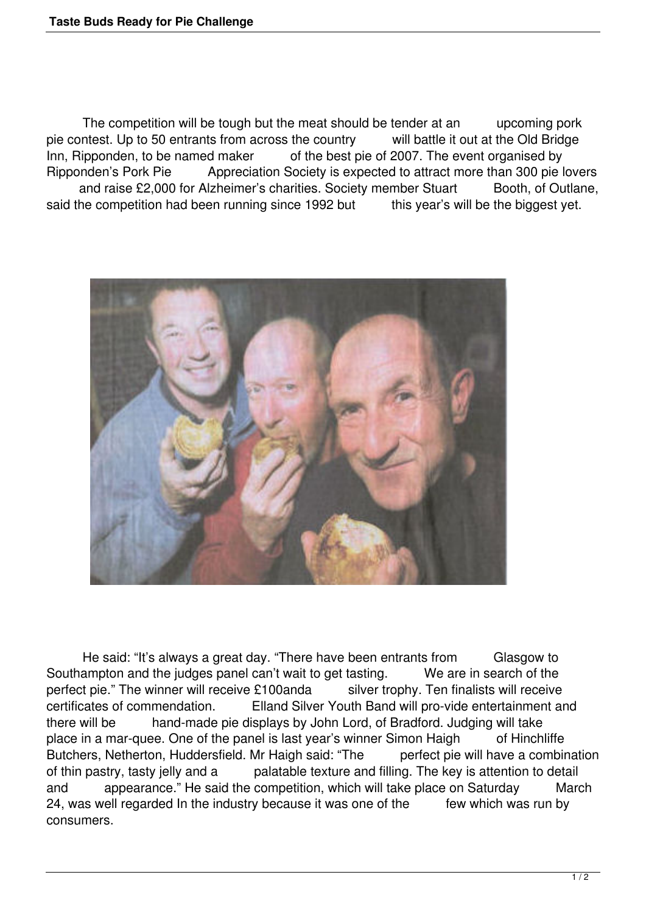The competition will be tough but the meat should be tender at an upcoming pork pie contest. Up to 50 entrants from across the country will battle it out at the Old Bridge Inn, Ripponden, to be named maker of the best pie of 2007. The event organised by Ripponden's Pork Pie Appreciation Society is expected to attract more than 300 pie lovers and raise £2,000 for Alzheimer's charities. Society member Stuart Booth, of Outlane, said the competition had been running since 1992 but this year's will be the biggest yet.



 He said: "It's always a great day. "There have been entrants from Glasgow to Southampton and the judges panel can't wait to get tasting. We are in search of the perfect pie." The winner will receive £100anda silver trophy. Ten finalists will receive certificates of commendation. Elland Silver Youth Band will pro-vide entertainment and there will be hand-made pie displays by John Lord, of Bradford. Judging will take place in a mar-quee. One of the panel is last year's winner Simon Haigh of Hinchliffe Butchers, Netherton, Huddersfield. Mr Haigh said: "The perfect pie will have a combination of thin pastry, tasty jelly and a palatable texture and filling. The key is attention to detail and appearance." He said the competition, which will take place on Saturday March 24, was well regarded In the industry because it was one of the few which was run by consumers.